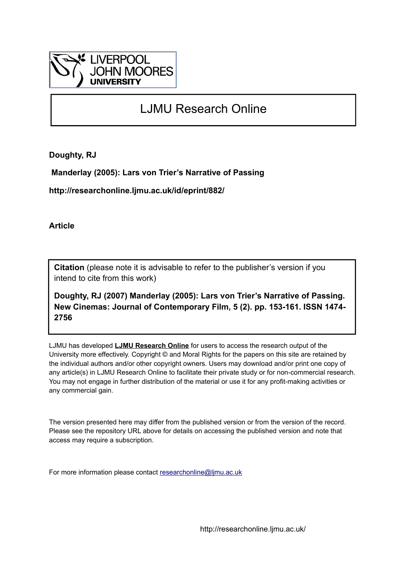

# LJMU Research Online

**Doughty, RJ**

 **Manderlay (2005): Lars von Trier's Narrative of Passing**

**http://researchonline.ljmu.ac.uk/id/eprint/882/**

**Article**

**Citation** (please note it is advisable to refer to the publisher's version if you intend to cite from this work)

**Doughty, RJ (2007) Manderlay (2005): Lars von Trier's Narrative of Passing. New Cinemas: Journal of Contemporary Film, 5 (2). pp. 153-161. ISSN 1474- 2756** 

LJMU has developed **[LJMU Research Online](http://researchonline.ljmu.ac.uk/)** for users to access the research output of the University more effectively. Copyright © and Moral Rights for the papers on this site are retained by the individual authors and/or other copyright owners. Users may download and/or print one copy of any article(s) in LJMU Research Online to facilitate their private study or for non-commercial research. You may not engage in further distribution of the material or use it for any profit-making activities or any commercial gain.

The version presented here may differ from the published version or from the version of the record. Please see the repository URL above for details on accessing the published version and note that access may require a subscription.

For more information please contact [researchonline@ljmu.ac.uk](mailto:researchonline@ljmu.ac.uk)

http://researchonline.ljmu.ac.uk/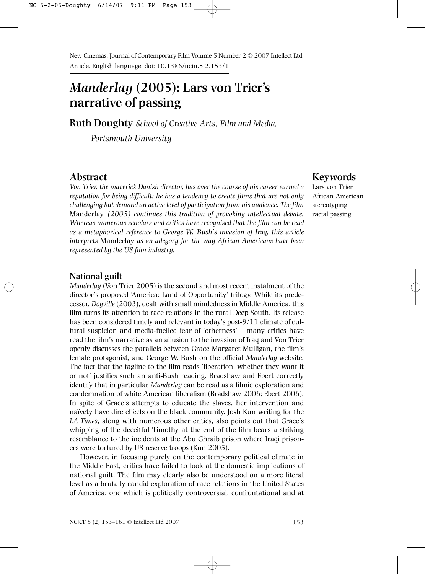New Cinemas: Journal of Contemporary Film Volume 5 Number 2 © 2007 Intellect Ltd. Article. English language. doi: 10.1386/ncin.5.2.153/1

# *Manderlay* **(2005): Lars von Trier's narrative of passing**

**Ruth Doughty** *School of Creative Arts, Film and Media,*

*Portsmouth University*

# **Abstract**

*Von Trier, the maverick Danish director, has over the course of his career earned a reputation for being difficult; he has a tendency to create films that are not only challenging but demand an active level of participation from his audience. The film* Manderlay *(2005) continues this tradition of provoking intellectual debate. Whereas numerous scholars and critics have recognised that the film can be read as a metaphorical reference to George W. Bush's invasion of Iraq, this article interprets* Manderlay *as an allegory for the way African Americans have been represented by the US film industry.*

# **Keywords**

Lars von Trier African American stereotyping racial passing

# **National guilt**

*Manderlay* (Von Trier 2005) is the second and most recent instalment of the director's proposed 'America: Land of Opportunity' trilogy. While its predecessor, *Dogville* (2003), dealt with small mindedness in Middle America, this film turns its attention to race relations in the rural Deep South. Its release has been considered timely and relevant in today's post-9/11 climate of cultural suspicion and media-fuelled fear of 'otherness' – many critics have read the film's narrative as an allusion to the invasion of Iraq and Von Trier openly discusses the parallels between Grace Margaret Mulligan, the film's female protagonist, and George W. Bush on the official *Manderlay* website. The fact that the tagline to the film reads 'liberation, whether they want it or not' justifies such an anti-Bush reading. Bradshaw and Ebert correctly identify that in particular *Manderlay* can be read as a filmic exploration and condemnation of white American liberalism (Bradshaw 2006; Ebert 2006). In spite of Grace's attempts to educate the slaves, her intervention and naïvety have dire effects on the black community. Josh Kun writing for the *LA Times*, along with numerous other critics, also points out that Grace's whipping of the deceitful Timothy at the end of the film bears a striking resemblance to the incidents at the Abu Ghraib prison where Iraqi prisoners were tortured by US reserve troops (Kun 2005).

However, in focusing purely on the contemporary political climate in the Middle East, critics have failed to look at the domestic implications of national guilt. The film may clearly also be understood on a more literal level as a brutally candid exploration of race relations in the United States of America; one which is politically controversial, confrontational and at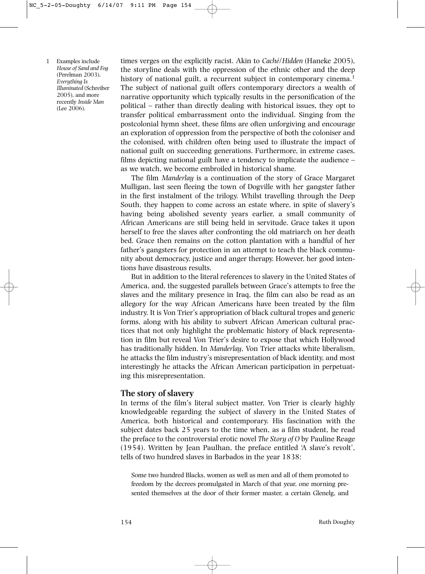1 Examples include *House of Sand and Fog* (Perelman 2003), *Everything Is Illuminated* (Schreiber 2005), and more recently *Inside Man* (Lee 2006).

times verges on the explicitly racist. Akin to *Caché/Hidden* (Haneke 2005), the storyline deals with the oppression of the ethnic other and the deep history of national guilt, a recurrent subject in contemporary cinema.<sup>1</sup> The subject of national guilt offers contemporary directors a wealth of narrative opportunity which typically results in the personification of the political – rather than directly dealing with historical issues, they opt to transfer political embarrassment onto the individual. Singing from the postcolonial hymn sheet, these films are often unforgiving and encourage an exploration of oppression from the perspective of both the coloniser and the colonised, with children often being used to illustrate the impact of national guilt on succeeding generations. Furthermore, in extreme cases, films depicting national guilt have a tendency to implicate the audience – as we watch, we become embroiled in historical shame.

The film *Manderlay* is a continuation of the story of Grace Margaret Mulligan, last seen fleeing the town of Dogville with her gangster father in the first instalment of the trilogy. Whilst travelling through the Deep South, they happen to come across an estate where, in spite of slavery's having being abolished seventy years earlier, a small community of African Americans are still being held in servitude. Grace takes it upon herself to free the slaves after confronting the old matriarch on her death bed. Grace then remains on the cotton plantation with a handful of her father's gangsters for protection in an attempt to teach the black community about democracy, justice and anger therapy. However, her good intentions have disastrous results.

But in addition to the literal references to slavery in the United States of America, and, the suggested parallels between Grace's attempts to free the slaves and the military presence in Iraq, the film can also be read as an allegory for the way African Americans have been treated by the film industry. It is Von Trier's appropriation of black cultural tropes and generic forms, along with his ability to subvert African American cultural practices that not only highlight the problematic history of black representation in film but reveal Von Trier's desire to expose that which Hollywood has traditionally hidden. In *Manderlay*, Von Trier attacks white liberalism, he attacks the film industry's misrepresentation of black identity, and most interestingly he attacks the African American participation in perpetuating this misrepresentation.

# **The story of slavery**

In terms of the film's literal subject matter, Von Trier is clearly highly knowledgeable regarding the subject of slavery in the United States of America, both historical and contemporary. His fascination with the subject dates back 25 years to the time when, as a film student, he read the preface to the controversial erotic novel *The Story of O* by Pauline Reage (1954). Written by Jean Paulhan, the preface entitled 'A slave's revolt', tells of two hundred slaves in Barbados in the year 1838:

Some two hundred Blacks, women as well as men and all of them promoted to freedom by the decrees promulgated in March of that year, one morning presented themselves at the door of their former master, a certain Glenelg, and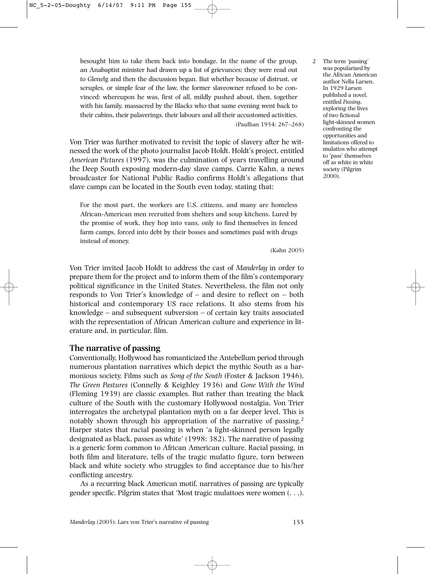besought him to take them back into bondage. In the name of the group, an Anabaptist minister had drawn up a list of grievances; they were read out to Glenelg and then the discussion began. But whether because of distrust, or scruples, or simple fear of the law, the former slaveowner refused to be convinced: whereupon he was, first of all, mildly pushed about, then, together with his family, massacred by the Blacks who that same evening went back to their cabins, their palaverings, their labours and all their accustomed activities. (Paulhan 1954: 267–268)

Von Trier was further motivated to revisit the topic of slavery after he witnessed the work of the photo journalist Jacob Holdt. Holdt's project, entitled *American Pictures* (1997), was the culmination of years travelling around the Deep South exposing modern-day slave camps. Carrie Kahn, a news broadcaster for National Public Radio confirms Holdt's allegations that slave camps can be located in the South even today, stating that:

For the most part, the workers are U.S. citizens, and many are homeless African-American men recruited from shelters and soup kitchens. Lured by the promise of work, they hop into vans, only to find themselves in fenced farm camps, forced into debt by their bosses and sometimes paid with drugs instead of money.

(Kahn 2005)

Von Trier invited Jacob Holdt to address the cast of *Manderlay* in order to prepare them for the project and to inform them of the film's contemporary political significance in the United States. Nevertheless, the film not only responds to Von Trier's knowledge of – and desire to reflect on – both historical and contemporary US race relations. It also stems from his knowledge – and subsequent subversion – of certain key traits associated with the representation of African American culture and experience in literature and, in particular, film.

### **The narrative of passing**

Conventionally, Hollywood has romanticized the Antebellum period through numerous plantation narratives which depict the mythic South as a harmonious society. Films such as *Song of the South* (Foster & Jackson 1946), *The Green Pastures* (Connelly & Keighley 1936) and *Gone With the Wind* (Fleming 1939) are classic examples. But rather than treating the black culture of the South with the customary Hollywood nostalgia, Von Trier interrogates the archetypal plantation myth on a far deeper level. This is notably shown through his appropriation of the narrative of passing.<sup>2</sup> Harper states that racial passing is when 'a light-skinned person legally designated as black, passes as white' (1998: 382). The narrative of passing is a generic form common to African American culture. Racial passing, in both film and literature, tells of the tragic mulatto figure, torn between black and white society who struggles to find acceptance due to his/her conflicting ancestry.

As a recurring black American motif, narratives of passing are typically gender specific. Pilgrim states that 'Most tragic mulattoes were women (. . .). 2 The term 'passing' was popularized by the African American author Nella Larsen. In 1929 Larsen published a novel, entitled *Passing*, exploring the lives of two fictional light-skinned women confronting the opportunities and limitations offered to mulattos who attempt to 'pass' themselves off as white in white society (Pilgrim 2000).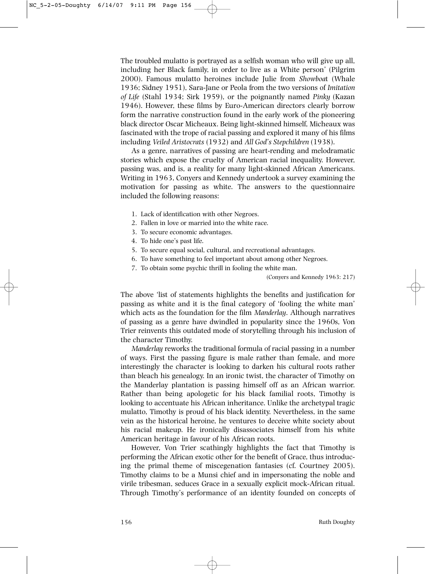The troubled mulatto is portrayed as a selfish woman who will give up all, including her Black family, in order to live as a White person' (Pilgrim 2000). Famous mulatto heroines include Julie from *Showboa*t (Whale 1936; Sidney 1951), Sara-Jane or Peola from the two versions of *Imitation of Life* (Stahl 1934; Sirk 1959), or the poignantly named *Pinky* (Kazan 1946). However, these films by Euro-American directors clearly borrow form the narrative construction found in the early work of the pioneering black director Oscar Micheaux. Being light-skinned himself, Micheaux was fascinated with the trope of racial passing and explored it many of his films including *Veiled Aristocrats* (1932) and *All God's Stepchildren* (1938).

As a genre, narratives of passing are heart-rending and melodramatic stories which expose the cruelty of American racial inequality. However, passing was, and is, a reality for many light-skinned African Americans. Writing in 1963, Conyers and Kennedy undertook a survey examining the motivation for passing as white. The answers to the questionnaire included the following reasons:

- 1. Lack of identification with other Negroes.
- 2. Fallen in love or married into the white race.
- 3. To secure economic advantages.
- 4. To hide one's past life.
- 5. To secure equal social, cultural, and recreational advantages.
- 6. To have something to feel important about among other Negroes.
- 7. To obtain some psychic thrill in fooling the white man.

(Conyers and Kennedy 1963: 217)

The above 'list of statements highlights the benefits and justification for passing as white and it is the final category of 'fooling the white man' which acts as the foundation for the film *Manderlay*. Although narratives of passing as a genre have dwindled in popularity since the 1960s, Von Trier reinvents this outdated mode of storytelling through his inclusion of the character Timothy.

*Manderlay* reworks the traditional formula of racial passing in a number of ways. First the passing figure is male rather than female, and more interestingly the character is looking to darken his cultural roots rather than bleach his genealogy. In an ironic twist, the character of Timothy on the Manderlay plantation is passing himself off as an African warrior. Rather than being apologetic for his black familial roots, Timothy is looking to accentuate his African inheritance. Unlike the archetypal tragic mulatto, Timothy is proud of his black identity. Nevertheless, in the same vein as the historical heroine, he ventures to deceive white society about his racial makeup. He ironically disassociates himself from his white American heritage in favour of his African roots.

However, Von Trier scathingly highlights the fact that Timothy is performing the African exotic other for the benefit of Grace, thus introducing the primal theme of miscegenation fantasies (cf. Courtney 2005). Timothy claims to be a Munsi chief and in impersonating the noble and virile tribesman, seduces Grace in a sexually explicit mock-African ritual. Through Timothy's performance of an identity founded on concepts of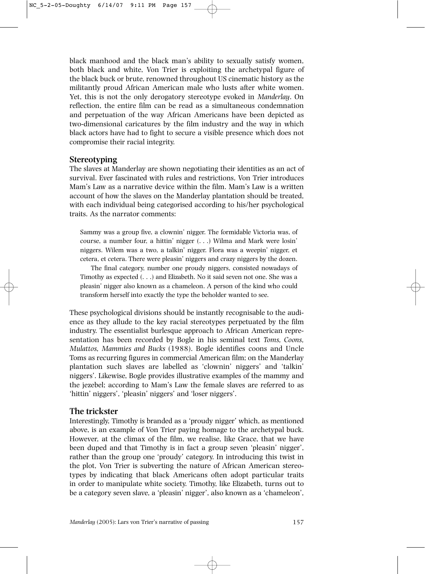black manhood and the black man's ability to sexually satisfy women, both black and white, Von Trier is exploiting the archetypal figure of the black buck or brute, renowned throughout US cinematic history as the militantly proud African American male who lusts after white women. Yet, this is not the only derogatory stereotype evoked in *Manderlay*. On reflection, the entire film can be read as a simultaneous condemnation and perpetuation of the way African Americans have been depicted as two-dimensional caricatures by the film industry and the way in which black actors have had to fight to secure a visible presence which does not compromise their racial integrity.

# **Stereotyping**

The slaves at Manderlay are shown negotiating their identities as an act of survival. Ever fascinated with rules and restrictions, Von Trier introduces Mam's Law as a narrative device within the film. Mam's Law is a written account of how the slaves on the Manderlay plantation should be treated, with each individual being categorised according to his/her psychological traits. As the narrator comments:

Sammy was a group five, a clownin' nigger. The formidable Victoria was, of course, a number four, a hittin' nigger (. . .) Wilma and Mark were losin' niggers. Wilem was a two, a talkin' nigger. Flora was a weepin' nigger, et cetera, et cetera. There were pleasin' niggers and crazy niggers by the dozen.

The final category, number one proudy niggers, consisted nowadays of Timothy as expected (. . .) and Elizabeth. No it said seven not one. She was a pleasin' nigger also known as a chameleon. A person of the kind who could transform herself into exactly the type the beholder wanted to see.

These psychological divisions should be instantly recognisable to the audience as they allude to the key racial stereotypes perpetuated by the film industry. The essentialist burlesque approach to African American representation has been recorded by Bogle in his seminal text *Toms, Coons, Mulattos, Mammies and Bucks* (1988). Bogle identifies coons and Uncle Toms as recurring figures in commercial American film; on the Manderlay plantation such slaves are labelled as 'clownin' niggers' and 'talkin' niggers'. Likewise, Bogle provides illustrative examples of the mammy and the jezebel; according to Mam's Law the female slaves are referred to as 'hittin' niggers', 'pleasin' niggers' and 'loser niggers'.

#### **The trickster**

Interestingly, Timothy is branded as a 'proudy nigger' which, as mentioned above, is an example of Von Trier paying homage to the archetypal buck. However, at the climax of the film, we realise, like Grace, that we have been duped and that Timothy is in fact a group seven 'pleasin' nigger', rather than the group one 'proudy' category. In introducing this twist in the plot, Von Trier is subverting the nature of African American stereotypes by indicating that black Americans often adopt particular traits in order to manipulate white society. Timothy, like Elizabeth, turns out to be a category seven slave, a 'pleasin' nigger', also known as a 'chameleon',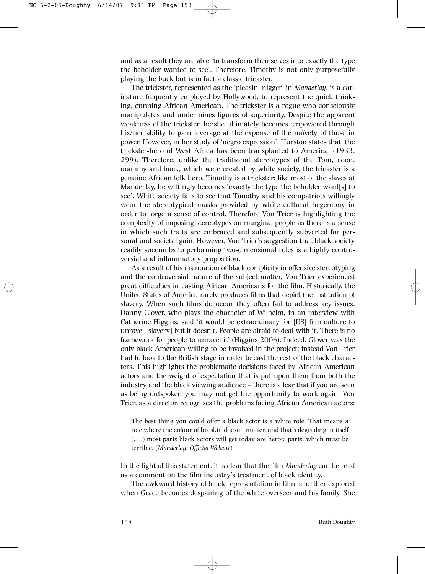and as a result they are able 'to transform themselves into exactly the type the beholder wanted to see'. Therefore, Timothy is not only purposefully playing the buck but is in fact a classic trickster.

The trickster, represented as the 'pleasin' nigger' in *Manderlay*, is a caricature frequently employed by Hollywood, to represent the quick thinking, cunning African American. The trickster is a rogue who consciously manipulates and undermines figures of superiority. Despite the apparent weakness of the trickster, he/she ultimately becomes empowered through his/her ability to gain leverage at the expense of the naïvety of those in power. However, in her study of 'negro expression', Hurston states that 'the trickster-hero of West Africa has been transplanted to America' (1933: 299). Therefore, unlike the traditional stereotypes of the Tom, coon, mammy and buck, which were created by white society, the trickster is a genuine African folk hero. Timothy is a trickster; like most of the slaves at Manderlay, he wittingly becomes 'exactly the type the beholder want[s] to see'. White society fails to see that Timothy and his compatriots willingly wear the stereotypical masks provided by white cultural hegemony in order to forge a sense of control. Therefore Von Trier is highlighting the complexity of imposing stereotypes on marginal people as there is a sense in which such traits are embraced and subsequently subverted for personal and societal gain. However, Von Trier's suggestion that black society readily succumbs to performing two-dimensional roles is a highly controversial and inflammatory proposition.

As a result of his insinuation of black complicity in offensive stereotyping and the controversial nature of the subject matter, Von Trier experienced great difficulties in casting African Americans for the film. Historically, the United States of America rarely produces films that depict the institution of slavery. When such films do occur they often fail to address key issues. Danny Glover, who plays the character of Wilhelm, in an interview with Catherine Higgins, said 'it would be extraordinary for [US] film culture to unravel [slavery] but it doesn't. People are afraid to deal with it. There is no framework for people to unravel it' (Higgins 2006). Indeed, Glover was the only black American willing to be involved in the project; instead Von Trier had to look to the British stage in order to cast the rest of the black characters. This highlights the problematic decisions faced by African American actors and the weight of expectation that is put upon them from both the industry and the black viewing audience – there is a fear that if you are seen as being outspoken you may not get the opportunity to work again. Von Trier, as a director, recognises the problems facing African American actors:

The best thing you could offer a black actor is a white role. That means a role where the colour of his skin doesn't matter, and that's degrading in itself (. . .) most parts black actors will get today are heroic parts, which must be terrible. (*Manderlay: Official Website*)

In the light of this statement, it is clear that the film *Manderlay* can be read as a comment on the film industry's treatment of black identity.

The awkward history of black representation in film is further explored when Grace becomes despairing of the white overseer and his family. She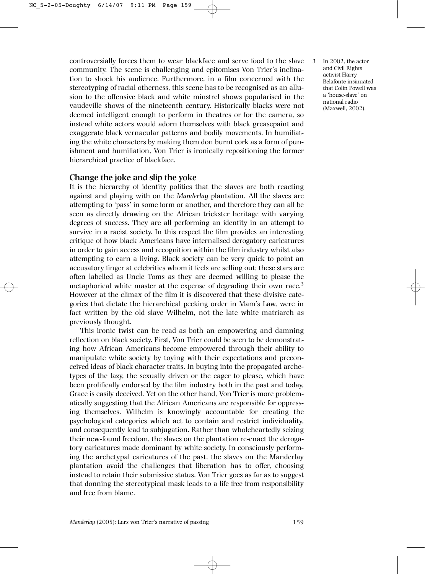controversially forces them to wear blackface and serve food to the slave community. The scene is challenging and epitomises Von Trier's inclination to shock his audience. Furthermore, in a film concerned with the stereotyping of racial otherness, this scene has to be recognised as an allusion to the offensive black and white minstrel shows popularised in the vaudeville shows of the nineteenth century. Historically blacks were not deemed intelligent enough to perform in theatres or for the camera, so instead white actors would adorn themselves with black greasepaint and exaggerate black vernacular patterns and bodily movements. In humiliating the white characters by making them don burnt cork as a form of punishment and humiliation, Von Trier is ironically repositioning the former hierarchical practice of blackface.

### **Change the joke and slip the yoke**

It is the hierarchy of identity politics that the slaves are both reacting against and playing with on the *Manderlay* plantation. All the slaves are attempting to 'pass' in some form or another, and therefore they can all be seen as directly drawing on the African trickster heritage with varying degrees of success. They are all performing an identity in an attempt to survive in a racist society. In this respect the film provides an interesting critique of how black Americans have internalised derogatory caricatures in order to gain access and recognition within the film industry whilst also attempting to earn a living. Black society can be very quick to point an accusatory finger at celebrities whom it feels are selling out; these stars are often labelled as Uncle Toms as they are deemed willing to please the metaphorical white master at the expense of degrading their own race.<sup>3</sup> However at the climax of the film it is discovered that these divisive categories that dictate the hierarchical pecking order in Mam's Law, were in fact written by the old slave Wilhelm, not the late white matriarch as previously thought.

This ironic twist can be read as both an empowering and damning reflection on black society. First, Von Trier could be seen to be demonstrating how African Americans become empowered through their ability to manipulate white society by toying with their expectations and preconceived ideas of black character traits. In buying into the propagated archetypes of the lazy, the sexually driven or the eager to please, which have been prolifically endorsed by the film industry both in the past and today, Grace is easily deceived. Yet on the other hand, Von Trier is more problematically suggesting that the African Americans are responsible for oppressing themselves. Wilhelm is knowingly accountable for creating the psychological categories which act to contain and restrict individuality, and consequently lead to subjugation. Rather than wholeheartedly seizing their new-found freedom, the slaves on the plantation re-enact the derogatory caricatures made dominant by white society. In consciously performing the archetypal caricatures of the past, the slaves on the Manderlay plantation avoid the challenges that liberation has to offer, choosing instead to retain their submissive status. Von Trier goes as far as to suggest that donning the stereotypical mask leads to a life free from responsibility and free from blame.

3 In 2002, the actor and Civil Rights activist Harry Belafonte insinuated that Colin Powell was a 'house-slave' on national radio (Maxwell, 2002).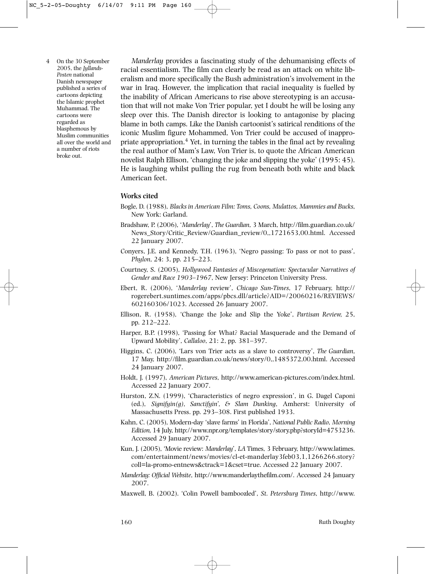4 On the 30 September 2005, the *Jyllands-Posten* national Danish newspaper published a series of cartoons depicting the Islamic prophet Muhammad. The cartoons were regarded as blasphemous by Muslim communities all over the world and a number of riots broke out.

*Manderlay* provides a fascinating study of the dehumanising effects of racial essentialism. The film can clearly be read as an attack on white liberalism and more specifically the Bush administration's involvement in the war in Iraq. However, the implication that racial inequality is fuelled by the inability of African Americans to rise above stereotyping is an accusation that will not make Von Trier popular, yet I doubt he will be losing any sleep over this. The Danish director is looking to antagonise by placing blame in both camps. Like the Danish cartoonist's satirical renditions of the iconic Muslim figure Mohammed, Von Trier could be accused of inappropriate appropriation.4 Yet, in turning the tables in the final act by revealing the real author of Mam's Law, Von Trier is, to quote the African American novelist Ralph Ellison, 'changing the joke and slipping the yoke' (1995: 45). He is laughing whilst pulling the rug from beneath both white and black American feet.

#### **Works cited**

- Bogle, D. (1988), *Blacks in American Film: Toms, Coons, Mulattos, Mammies and Bucks*, New York: Garland.
- Bradshaw, P. (2006), '*Manderlay*', *The Guardian*, 3 March, http://film.guardian.co.uk/ News\_Story/Critic\_Review/Guardian\_review/0,,1721653,00.html. Accessed 22 January 2007.
- Conyers, J.E. and Kennedy, T.H. (1963), 'Negro passing: To pass or not to pass', *Phylon*, 24: 3, pp. 215–223.
- Courtney, S. (2005), *Hollywood Fantasies of Miscegenation: Spectacular Narratives of Gender and Race 1903–1967*, New Jersey: Princeton University Press.
- Ebert, R. (2006), '*Manderlay* review', *Chicago Sun-Times*, 17 February, http:// rogerebert.suntimes.com/apps/pbcs.dll/article?AID=/20060216/REVIEWS/ 602160306/1023. Accessed 26 January 2007.
- Ellison, R. (1958), 'Change the Joke and Slip the Yoke', *Partisan Review,* 25, pp. 212–222.
- Harper, B.P. (1998), 'Passing for What? Racial Masquerade and the Demand of Upward Mobility', *Callaloo*, 21: 2, pp. 381–397.
- Higgins, C. (2006), 'Lars von Trier acts as a slave to controversy', *The Guardian*, 17 May, http://film.guardian.co.uk/news/story/0,,1485372,00.html. Accessed 24 January 2007.
- Holdt, J. (1997), *American Pictures*, http://www.american-pictures.com/index.html. Accessed 22 January 2007.
- Hurston, Z.N. (1999), 'Characteristics of negro expression', in G. Dagel Caponi (ed.), *Signifyin(g), Sanctifyin', & Slam Dunking*, Amherst: University of Massachusetts Press. pp. 293–308. First published 1933.
- Kahn, C. (2005), Modern-day 'slave farms' in Florida', *National Public Radio*, *Morning Edition,* 14 July, http://www.npr.org/templates/story/story.php?storyId=4753236. Accessed 29 January 2007.
- Kun, J. (2005), 'Movie review: *Manderlay*', *LA* Times, 3 February, http://www.latimes. com/entertainment/news/movies/cl-et-manderlay3feb03,1,1266266.story? coll=la-promo-entnews&ctrack=1&cset=true. Accessed 22 January 2007.
- *Manderlay: Official Website*, http://www.manderlaythefilm.com/. Accessed 24 January 2007.
- Maxwell, B. (2002). 'Colin Powell bamboozled', *St. Petersburg Times*, http://www.